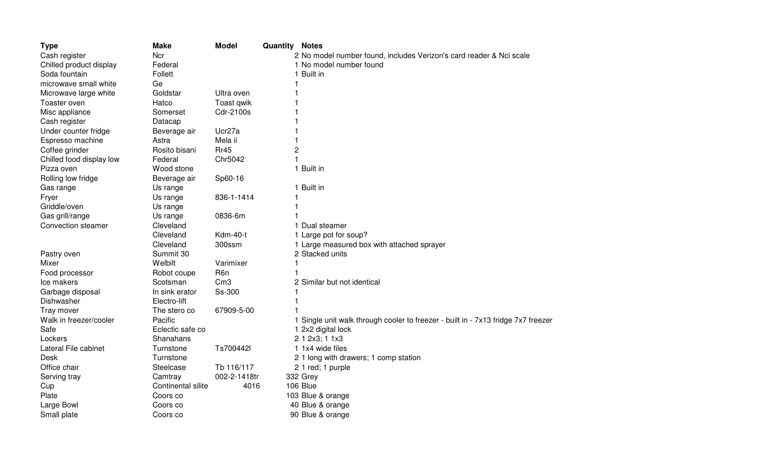| Cash register<br>Ncr<br>2 No model number found, includes Verizon's card reader & Nci scale<br>1 No model number found<br>Chilled product display<br>Federal<br>1 Built in<br>Soda fountain<br>Follett<br>microwave small white<br>Ge<br>Goldstar<br>Ultra oven<br>Microwave large white<br>Toaster oven<br>Hatco<br>Toast qwik<br>Misc appliance<br>Cdr-2100s<br>Somerset<br>Cash register<br>Datacap<br>Ucr27a<br>Under counter fridge<br>Beverage air<br>Espresso machine<br>Astra<br>Mela ii<br>2<br>Coffee grinder<br>Rosito bisani<br>Rr45<br>Chr5042<br>Chilled food display low<br>Federal<br>1 Built in<br>Pizza oven<br>Wood stone<br>Rolling low fridge<br>Sp60-16<br>Beverage air<br>1 Built in<br>Gas range<br>Us range<br>836-1-1414<br>Fryer<br>Us range<br>Griddle/oven<br>Us range<br>Gas grill/range<br>0836-6m<br>Us range<br>Convection steamer<br>Cleveland<br>1 Dual steamer<br>Kdm-40-t<br>1 Large pot for soup?<br>Cleveland<br>Cleveland<br>300ssm<br>1 Large measured box with attached sprayer<br>Summit 30<br>2 Stacked units<br>Pastry oven<br>Welbilt<br>Varimixer<br>Mixer<br>Food processor<br>Robot coupe<br>R <sub>6</sub> n<br>Cm3<br>2 Similar but not identical<br>Ice makers<br>Scotsman<br>Ss-300<br>Garbage disposal<br>In sink erator<br>Dishwasher<br>Electro-lift<br>Tray mover<br>67909-5-00<br>The stero co<br>Pacific<br>Walk in freezer/cooler<br>1 Single unit walk through cooler to freezer - built in - 7x13 fridge 7x7 freezer<br>Safe<br>1 2x2 digital lock<br>Eclectic safe co<br>2 1 2x3; 1 1x3<br>Lockers<br>Shanahans<br>Lateral File cabinet<br>Ts700442l<br>1 1x4 wide files<br>Turnstone<br>2 1 long with drawers; 1 comp station<br>Desk<br>Turnstone<br>Office chair<br>Steelcase<br>Tb 116/117<br>2 1 red; 1 purple<br>002-2-1418tr<br>332 Grey<br>Serving tray<br>Camtray<br>106 Blue<br>Continental silite<br>4016<br>Cup<br>Plate<br>Coors co<br>103 Blue & orange<br>Large Bowl<br>Coors co<br>40 Blue & orange | <b>Type</b> | <b>Make</b> | <b>Model</b> | <b>Quantity Notes</b> |  |
|------------------------------------------------------------------------------------------------------------------------------------------------------------------------------------------------------------------------------------------------------------------------------------------------------------------------------------------------------------------------------------------------------------------------------------------------------------------------------------------------------------------------------------------------------------------------------------------------------------------------------------------------------------------------------------------------------------------------------------------------------------------------------------------------------------------------------------------------------------------------------------------------------------------------------------------------------------------------------------------------------------------------------------------------------------------------------------------------------------------------------------------------------------------------------------------------------------------------------------------------------------------------------------------------------------------------------------------------------------------------------------------------------------------------------------------------------------------------------------------------------------------------------------------------------------------------------------------------------------------------------------------------------------------------------------------------------------------------------------------------------------------------------------------------------------------------------------------------------------------------------------------------------------------------------------------------------------------------------------|-------------|-------------|--------------|-----------------------|--|
|                                                                                                                                                                                                                                                                                                                                                                                                                                                                                                                                                                                                                                                                                                                                                                                                                                                                                                                                                                                                                                                                                                                                                                                                                                                                                                                                                                                                                                                                                                                                                                                                                                                                                                                                                                                                                                                                                                                                                                                    |             |             |              |                       |  |
|                                                                                                                                                                                                                                                                                                                                                                                                                                                                                                                                                                                                                                                                                                                                                                                                                                                                                                                                                                                                                                                                                                                                                                                                                                                                                                                                                                                                                                                                                                                                                                                                                                                                                                                                                                                                                                                                                                                                                                                    |             |             |              |                       |  |
|                                                                                                                                                                                                                                                                                                                                                                                                                                                                                                                                                                                                                                                                                                                                                                                                                                                                                                                                                                                                                                                                                                                                                                                                                                                                                                                                                                                                                                                                                                                                                                                                                                                                                                                                                                                                                                                                                                                                                                                    |             |             |              |                       |  |
|                                                                                                                                                                                                                                                                                                                                                                                                                                                                                                                                                                                                                                                                                                                                                                                                                                                                                                                                                                                                                                                                                                                                                                                                                                                                                                                                                                                                                                                                                                                                                                                                                                                                                                                                                                                                                                                                                                                                                                                    |             |             |              |                       |  |
|                                                                                                                                                                                                                                                                                                                                                                                                                                                                                                                                                                                                                                                                                                                                                                                                                                                                                                                                                                                                                                                                                                                                                                                                                                                                                                                                                                                                                                                                                                                                                                                                                                                                                                                                                                                                                                                                                                                                                                                    |             |             |              |                       |  |
|                                                                                                                                                                                                                                                                                                                                                                                                                                                                                                                                                                                                                                                                                                                                                                                                                                                                                                                                                                                                                                                                                                                                                                                                                                                                                                                                                                                                                                                                                                                                                                                                                                                                                                                                                                                                                                                                                                                                                                                    |             |             |              |                       |  |
|                                                                                                                                                                                                                                                                                                                                                                                                                                                                                                                                                                                                                                                                                                                                                                                                                                                                                                                                                                                                                                                                                                                                                                                                                                                                                                                                                                                                                                                                                                                                                                                                                                                                                                                                                                                                                                                                                                                                                                                    |             |             |              |                       |  |
|                                                                                                                                                                                                                                                                                                                                                                                                                                                                                                                                                                                                                                                                                                                                                                                                                                                                                                                                                                                                                                                                                                                                                                                                                                                                                                                                                                                                                                                                                                                                                                                                                                                                                                                                                                                                                                                                                                                                                                                    |             |             |              |                       |  |
|                                                                                                                                                                                                                                                                                                                                                                                                                                                                                                                                                                                                                                                                                                                                                                                                                                                                                                                                                                                                                                                                                                                                                                                                                                                                                                                                                                                                                                                                                                                                                                                                                                                                                                                                                                                                                                                                                                                                                                                    |             |             |              |                       |  |
|                                                                                                                                                                                                                                                                                                                                                                                                                                                                                                                                                                                                                                                                                                                                                                                                                                                                                                                                                                                                                                                                                                                                                                                                                                                                                                                                                                                                                                                                                                                                                                                                                                                                                                                                                                                                                                                                                                                                                                                    |             |             |              |                       |  |
|                                                                                                                                                                                                                                                                                                                                                                                                                                                                                                                                                                                                                                                                                                                                                                                                                                                                                                                                                                                                                                                                                                                                                                                                                                                                                                                                                                                                                                                                                                                                                                                                                                                                                                                                                                                                                                                                                                                                                                                    |             |             |              |                       |  |
|                                                                                                                                                                                                                                                                                                                                                                                                                                                                                                                                                                                                                                                                                                                                                                                                                                                                                                                                                                                                                                                                                                                                                                                                                                                                                                                                                                                                                                                                                                                                                                                                                                                                                                                                                                                                                                                                                                                                                                                    |             |             |              |                       |  |
|                                                                                                                                                                                                                                                                                                                                                                                                                                                                                                                                                                                                                                                                                                                                                                                                                                                                                                                                                                                                                                                                                                                                                                                                                                                                                                                                                                                                                                                                                                                                                                                                                                                                                                                                                                                                                                                                                                                                                                                    |             |             |              |                       |  |
|                                                                                                                                                                                                                                                                                                                                                                                                                                                                                                                                                                                                                                                                                                                                                                                                                                                                                                                                                                                                                                                                                                                                                                                                                                                                                                                                                                                                                                                                                                                                                                                                                                                                                                                                                                                                                                                                                                                                                                                    |             |             |              |                       |  |
|                                                                                                                                                                                                                                                                                                                                                                                                                                                                                                                                                                                                                                                                                                                                                                                                                                                                                                                                                                                                                                                                                                                                                                                                                                                                                                                                                                                                                                                                                                                                                                                                                                                                                                                                                                                                                                                                                                                                                                                    |             |             |              |                       |  |
|                                                                                                                                                                                                                                                                                                                                                                                                                                                                                                                                                                                                                                                                                                                                                                                                                                                                                                                                                                                                                                                                                                                                                                                                                                                                                                                                                                                                                                                                                                                                                                                                                                                                                                                                                                                                                                                                                                                                                                                    |             |             |              |                       |  |
|                                                                                                                                                                                                                                                                                                                                                                                                                                                                                                                                                                                                                                                                                                                                                                                                                                                                                                                                                                                                                                                                                                                                                                                                                                                                                                                                                                                                                                                                                                                                                                                                                                                                                                                                                                                                                                                                                                                                                                                    |             |             |              |                       |  |
|                                                                                                                                                                                                                                                                                                                                                                                                                                                                                                                                                                                                                                                                                                                                                                                                                                                                                                                                                                                                                                                                                                                                                                                                                                                                                                                                                                                                                                                                                                                                                                                                                                                                                                                                                                                                                                                                                                                                                                                    |             |             |              |                       |  |
|                                                                                                                                                                                                                                                                                                                                                                                                                                                                                                                                                                                                                                                                                                                                                                                                                                                                                                                                                                                                                                                                                                                                                                                                                                                                                                                                                                                                                                                                                                                                                                                                                                                                                                                                                                                                                                                                                                                                                                                    |             |             |              |                       |  |
|                                                                                                                                                                                                                                                                                                                                                                                                                                                                                                                                                                                                                                                                                                                                                                                                                                                                                                                                                                                                                                                                                                                                                                                                                                                                                                                                                                                                                                                                                                                                                                                                                                                                                                                                                                                                                                                                                                                                                                                    |             |             |              |                       |  |
|                                                                                                                                                                                                                                                                                                                                                                                                                                                                                                                                                                                                                                                                                                                                                                                                                                                                                                                                                                                                                                                                                                                                                                                                                                                                                                                                                                                                                                                                                                                                                                                                                                                                                                                                                                                                                                                                                                                                                                                    |             |             |              |                       |  |
|                                                                                                                                                                                                                                                                                                                                                                                                                                                                                                                                                                                                                                                                                                                                                                                                                                                                                                                                                                                                                                                                                                                                                                                                                                                                                                                                                                                                                                                                                                                                                                                                                                                                                                                                                                                                                                                                                                                                                                                    |             |             |              |                       |  |
|                                                                                                                                                                                                                                                                                                                                                                                                                                                                                                                                                                                                                                                                                                                                                                                                                                                                                                                                                                                                                                                                                                                                                                                                                                                                                                                                                                                                                                                                                                                                                                                                                                                                                                                                                                                                                                                                                                                                                                                    |             |             |              |                       |  |
|                                                                                                                                                                                                                                                                                                                                                                                                                                                                                                                                                                                                                                                                                                                                                                                                                                                                                                                                                                                                                                                                                                                                                                                                                                                                                                                                                                                                                                                                                                                                                                                                                                                                                                                                                                                                                                                                                                                                                                                    |             |             |              |                       |  |
|                                                                                                                                                                                                                                                                                                                                                                                                                                                                                                                                                                                                                                                                                                                                                                                                                                                                                                                                                                                                                                                                                                                                                                                                                                                                                                                                                                                                                                                                                                                                                                                                                                                                                                                                                                                                                                                                                                                                                                                    |             |             |              |                       |  |
|                                                                                                                                                                                                                                                                                                                                                                                                                                                                                                                                                                                                                                                                                                                                                                                                                                                                                                                                                                                                                                                                                                                                                                                                                                                                                                                                                                                                                                                                                                                                                                                                                                                                                                                                                                                                                                                                                                                                                                                    |             |             |              |                       |  |
|                                                                                                                                                                                                                                                                                                                                                                                                                                                                                                                                                                                                                                                                                                                                                                                                                                                                                                                                                                                                                                                                                                                                                                                                                                                                                                                                                                                                                                                                                                                                                                                                                                                                                                                                                                                                                                                                                                                                                                                    |             |             |              |                       |  |
|                                                                                                                                                                                                                                                                                                                                                                                                                                                                                                                                                                                                                                                                                                                                                                                                                                                                                                                                                                                                                                                                                                                                                                                                                                                                                                                                                                                                                                                                                                                                                                                                                                                                                                                                                                                                                                                                                                                                                                                    |             |             |              |                       |  |
|                                                                                                                                                                                                                                                                                                                                                                                                                                                                                                                                                                                                                                                                                                                                                                                                                                                                                                                                                                                                                                                                                                                                                                                                                                                                                                                                                                                                                                                                                                                                                                                                                                                                                                                                                                                                                                                                                                                                                                                    |             |             |              |                       |  |
|                                                                                                                                                                                                                                                                                                                                                                                                                                                                                                                                                                                                                                                                                                                                                                                                                                                                                                                                                                                                                                                                                                                                                                                                                                                                                                                                                                                                                                                                                                                                                                                                                                                                                                                                                                                                                                                                                                                                                                                    |             |             |              |                       |  |
|                                                                                                                                                                                                                                                                                                                                                                                                                                                                                                                                                                                                                                                                                                                                                                                                                                                                                                                                                                                                                                                                                                                                                                                                                                                                                                                                                                                                                                                                                                                                                                                                                                                                                                                                                                                                                                                                                                                                                                                    |             |             |              |                       |  |
|                                                                                                                                                                                                                                                                                                                                                                                                                                                                                                                                                                                                                                                                                                                                                                                                                                                                                                                                                                                                                                                                                                                                                                                                                                                                                                                                                                                                                                                                                                                                                                                                                                                                                                                                                                                                                                                                                                                                                                                    |             |             |              |                       |  |
|                                                                                                                                                                                                                                                                                                                                                                                                                                                                                                                                                                                                                                                                                                                                                                                                                                                                                                                                                                                                                                                                                                                                                                                                                                                                                                                                                                                                                                                                                                                                                                                                                                                                                                                                                                                                                                                                                                                                                                                    |             |             |              |                       |  |
|                                                                                                                                                                                                                                                                                                                                                                                                                                                                                                                                                                                                                                                                                                                                                                                                                                                                                                                                                                                                                                                                                                                                                                                                                                                                                                                                                                                                                                                                                                                                                                                                                                                                                                                                                                                                                                                                                                                                                                                    |             |             |              |                       |  |
|                                                                                                                                                                                                                                                                                                                                                                                                                                                                                                                                                                                                                                                                                                                                                                                                                                                                                                                                                                                                                                                                                                                                                                                                                                                                                                                                                                                                                                                                                                                                                                                                                                                                                                                                                                                                                                                                                                                                                                                    |             |             |              |                       |  |
|                                                                                                                                                                                                                                                                                                                                                                                                                                                                                                                                                                                                                                                                                                                                                                                                                                                                                                                                                                                                                                                                                                                                                                                                                                                                                                                                                                                                                                                                                                                                                                                                                                                                                                                                                                                                                                                                                                                                                                                    |             |             |              |                       |  |
|                                                                                                                                                                                                                                                                                                                                                                                                                                                                                                                                                                                                                                                                                                                                                                                                                                                                                                                                                                                                                                                                                                                                                                                                                                                                                                                                                                                                                                                                                                                                                                                                                                                                                                                                                                                                                                                                                                                                                                                    |             |             |              |                       |  |
|                                                                                                                                                                                                                                                                                                                                                                                                                                                                                                                                                                                                                                                                                                                                                                                                                                                                                                                                                                                                                                                                                                                                                                                                                                                                                                                                                                                                                                                                                                                                                                                                                                                                                                                                                                                                                                                                                                                                                                                    |             |             |              |                       |  |
| Small plate<br>Coors co<br>90 Blue & orange                                                                                                                                                                                                                                                                                                                                                                                                                                                                                                                                                                                                                                                                                                                                                                                                                                                                                                                                                                                                                                                                                                                                                                                                                                                                                                                                                                                                                                                                                                                                                                                                                                                                                                                                                                                                                                                                                                                                        |             |             |              |                       |  |